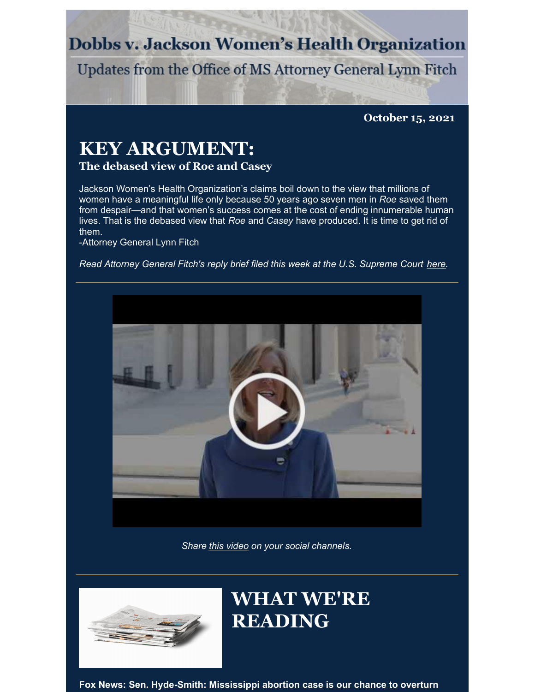# **Dobbs v. Jackson Women's Health Organization**

Updates from the Office of MS Attorney General Lynn Fitch

**October 15, 2021**

# **KEY ARGUMENT:**

## **The debased view of Roe and Casey**

Jackson Women's Health Organization's claims boil down to the view that millions of women have a meaningful life only because 50 years ago seven men in *Roe* saved them from despair—and that women's success comes at the cost of ending innumerable human lives. That is the debased view that *Roe* and *Casey* have produced. It is time to get rid of them.

-Attorney General Lynn Fitch

*Read Attorney General Fitch's reply brief filed this week at the U.S. Supreme Court [here](https://www.supremecourt.gov/DocketPDF/19/19-1392/196237/20211013162346656_19-1392ReplyBriefForPetitioners.pdf).*



*Share this [video](https://youtu.be/fOgU6vhu61k) on your social channels.*



# **WHAT WE'RE READING**

**Fox News: Sen. [Hyde-Smith:](https://www.foxnews.com/opinion/senator-hyde-smith-mississippi-abortion-roe-v-wade) Mississippi abortion case is our chance to overturn**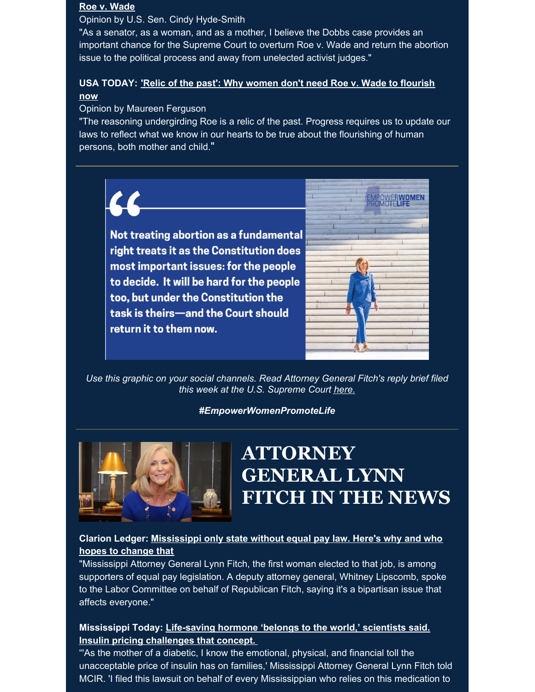#### **Roe v. Wade**

Opinion by U.S. Sen. Cindy Hyde-Smith

"As a senator, as a woman, and as a mother, I believe the Dobbs case provides an important chance for the Supreme Court to overturn Roe v. Wade and return the abortion issue to the political process and away from unelected activist judges."

### **USA [TODAY:](https://www.usatoday.com/story/opinion/2021/10/06/abortion-supreme-court-must-reconsider-roe-v-wade-mississippi-law/5945330001/) 'Relic of the past': Why women don't need Roe v. Wade to flourish now**

#### Opinion by Maureen Ferguson

"The reasoning undergirding Roe is a relic of the past. Progress requires us to update our laws to reflect what we know in our hearts to be true about the flourishing of human persons, both mother and child."

Not treating abortion as a fundamental right treats it as the Constitution does most important issues: for the people to decide. It will be hard for the people too, but under the Constitution the task is theirs-and the Court should return it to them now.



*Use this graphic on your social channels. Read Attorney General Fitch's reply brief filed this week at the U.S. Supreme Court [here.](https://www.supremecourt.gov/DocketPDF/19/19-1392/196237/20211013162346656_19-1392ReplyBriefForPetitioners.pdf)*

#### *#EmpowerWomenPromoteLife*



# **ATTORNEY GENERAL LYNN FITCH IN THE NEWS**

### **Clarion Ledger: [Mississippi](https://www.clarionledger.com/story/news/politics/2021/10/04/mississippi-no-equal-pay-law-may-change-legislature-2022/5952951001/) only state without equal pay law. Here's why and who hopes to change that**

"Mississippi Attorney General Lynn Fitch, the first woman elected to that job, is among supporters of equal pay legislation. A deputy attorney general, Whitney Lipscomb, spoke to the Labor Committee on behalf of Republican Fitch, saying it's a bipartisan issue that affects everyone."

### **[Mississippi](https://mississippitoday.org/2021/10/13/mississippi-insulin-pricing-challenges-lawsuit/) Today: Life-saving hormone 'belongs to the world,' scientists said. Insulin pricing challenges that concept.**

"'As the mother of a diabetic, I know the emotional, physical, and financial toll the unacceptable price of insulin has on families,' Mississippi Attorney General Lynn Fitch told MCIR. 'I filed this lawsuit on behalf of every Mississippian who relies on this medication to